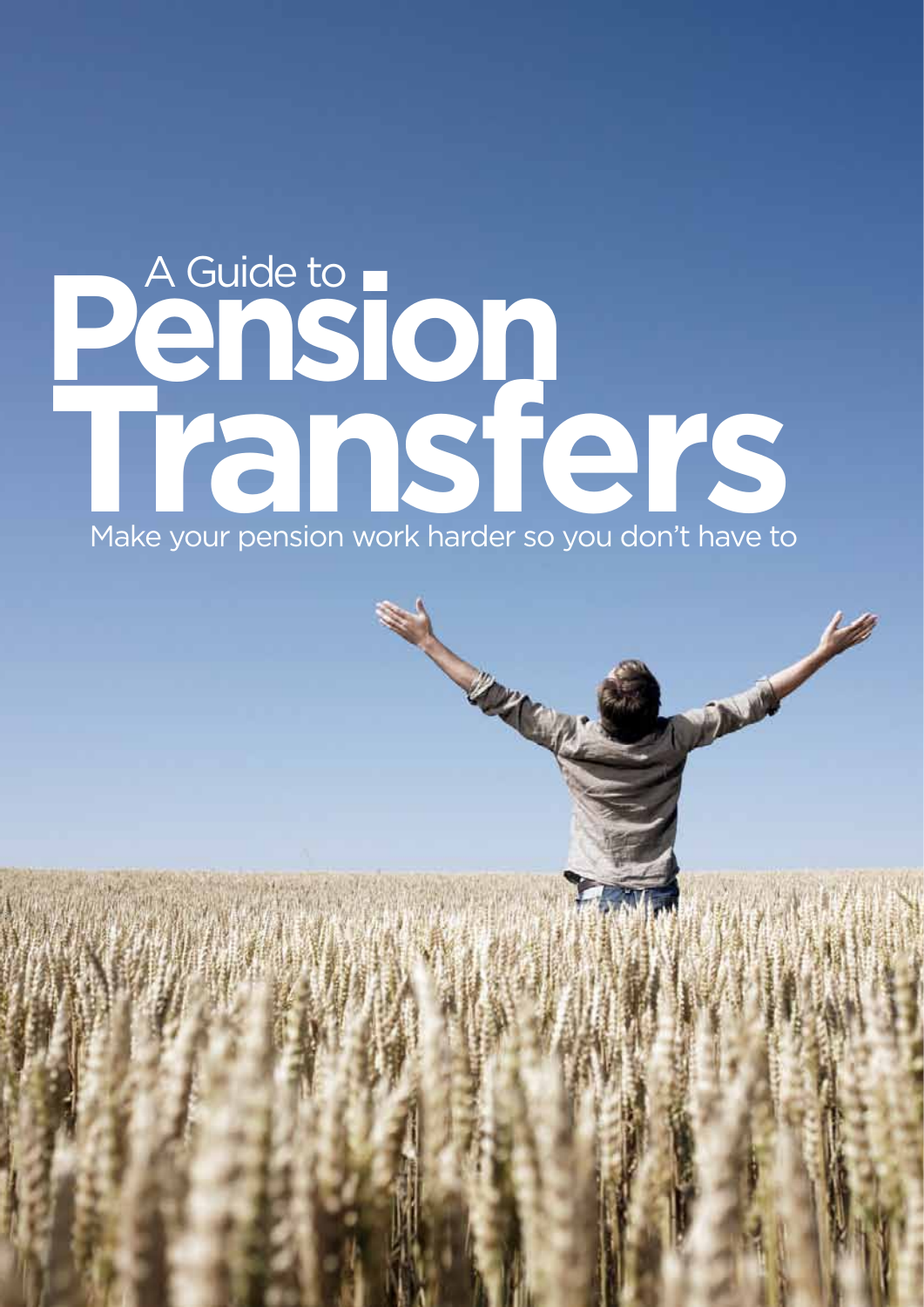## A Guide to **Pension Transfers** Make your pension work harder so you don't have to

**SANTA CONTRACTOR**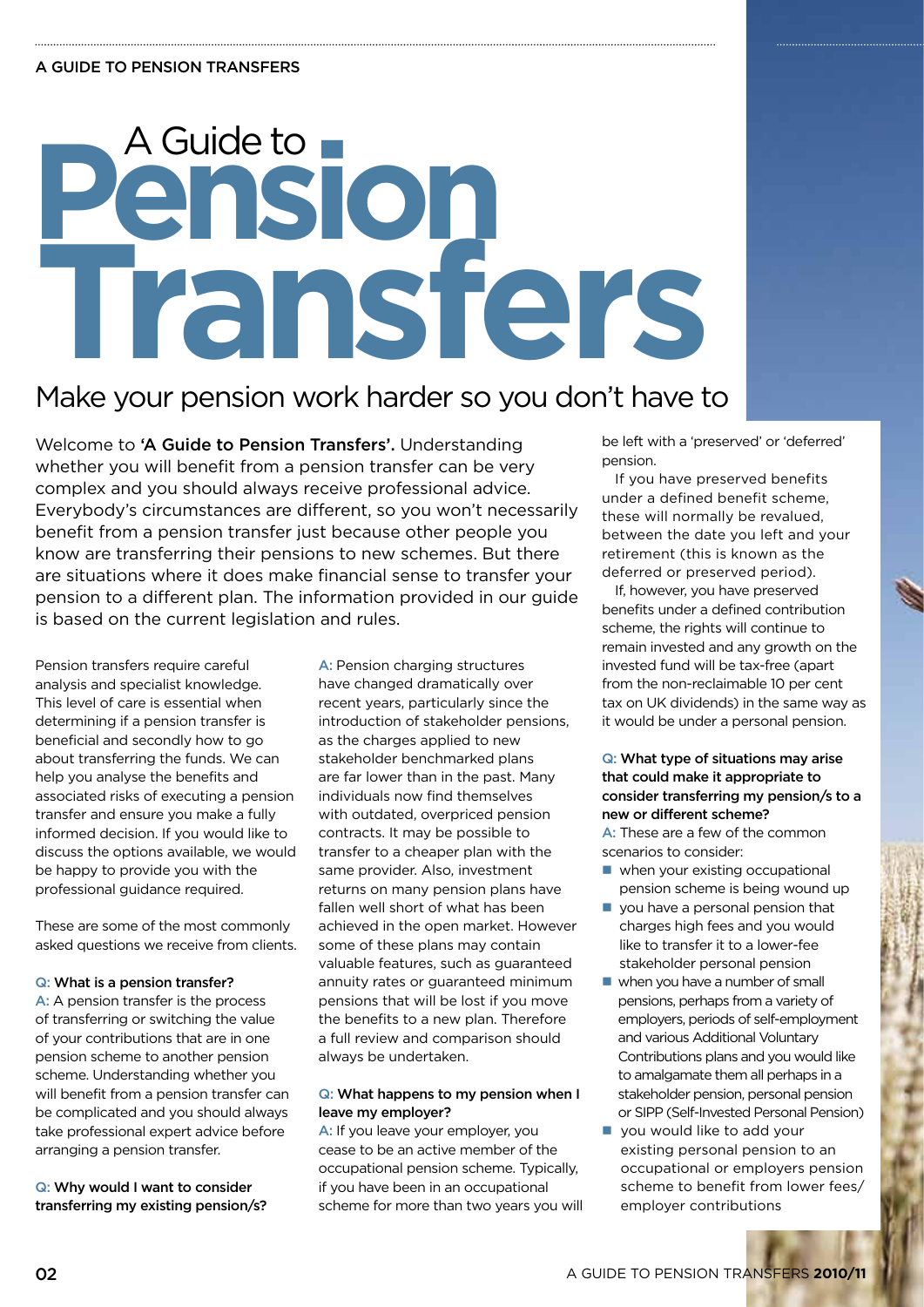# A Guide to **Pension Transfers**

## Make your pension work harder so you don't have to

Welcome to 'A Guide to Pension Transfers'. Understanding whether you will benefit from a pension transfer can be very complex and you should always receive professional advice. Everybody's circumstances are different, so you won't necessarily benefit from a pension transfer just because other people you know are transferring their pensions to new schemes. But there are situations where it does make financial sense to transfer your pension to a different plan. The information provided in our guide is based on the current legislation and rules.

Pension transfers require careful analysis and specialist knowledge. This level of care is essential when determining if a pension transfer is beneficial and secondly how to go about transferring the funds. We can help you analyse the benefits and associated risks of executing a pension transfer and ensure you make a fully informed decision. If you would like to discuss the options available, we would be happy to provide you with the professional guidance required.

These are some of the most commonly asked questions we receive from clients.

### Q: What is a pension transfer?

A: A pension transfer is the process of transferring or switching the value of your contributions that are in one pension scheme to another pension scheme. Understanding whether you will benefit from a pension transfer can be complicated and you should always take professional expert advice before arranging a pension transfer.

Q: Why would I want to consider transferring my existing pension/s?

A: Pension charging structures have changed dramatically over recent years, particularly since the introduction of stakeholder pensions, as the charges applied to new stakeholder benchmarked plans are far lower than in the past. Many individuals now find themselves with outdated, overpriced pension contracts. It may be possible to transfer to a cheaper plan with the same provider. Also, investment returns on many pension plans have fallen well short of what has been achieved in the open market. However some of these plans may contain valuable features, such as guaranteed annuity rates or guaranteed minimum pensions that will be lost if you move the benefits to a new plan. Therefore a full review and comparison should always be undertaken.

### Q: What happens to my pension when I leave my employer?

A: If you leave your employer, you cease to be an active member of the occupational pension scheme. Typically, if you have been in an occupational scheme for more than two years you will

be left with a 'preserved' or 'deferred' pension.

If you have preserved benefits under a defined benefit scheme, these will normally be revalued, between the date you left and your retirement (this is known as the deferred or preserved period).

If, however, you have preserved benefits under a defined contribution scheme, the rights will continue to remain invested and any growth on the invested fund will be tax-free (apart from the non-reclaimable 10 per cent tax on UK dividends) in the same way as it would be under a personal pension.

### Q: What type of situations may arise that could make it appropriate to consider transferring my pension/s to a new or different scheme?

A: These are a few of the common scenarios to consider:

- $\blacksquare$  when your existing occupational pension scheme is being wound up
- you have a personal pension that charges high fees and you would like to transfer it to a lower-fee stakeholder personal pension
- $\blacksquare$  when you have a number of small pensions, perhaps from a variety of employers, periods of self-employment and various Additional Voluntary Contributions plans and you would like to amalgamate them all perhaps in a stakeholder pension, personal pension or SIPP (Self-Invested Personal Pension)
- $\blacksquare$  you would like to add your existing personal pension to an occupational or employers pension scheme to benefit from lower fees/ employer contributions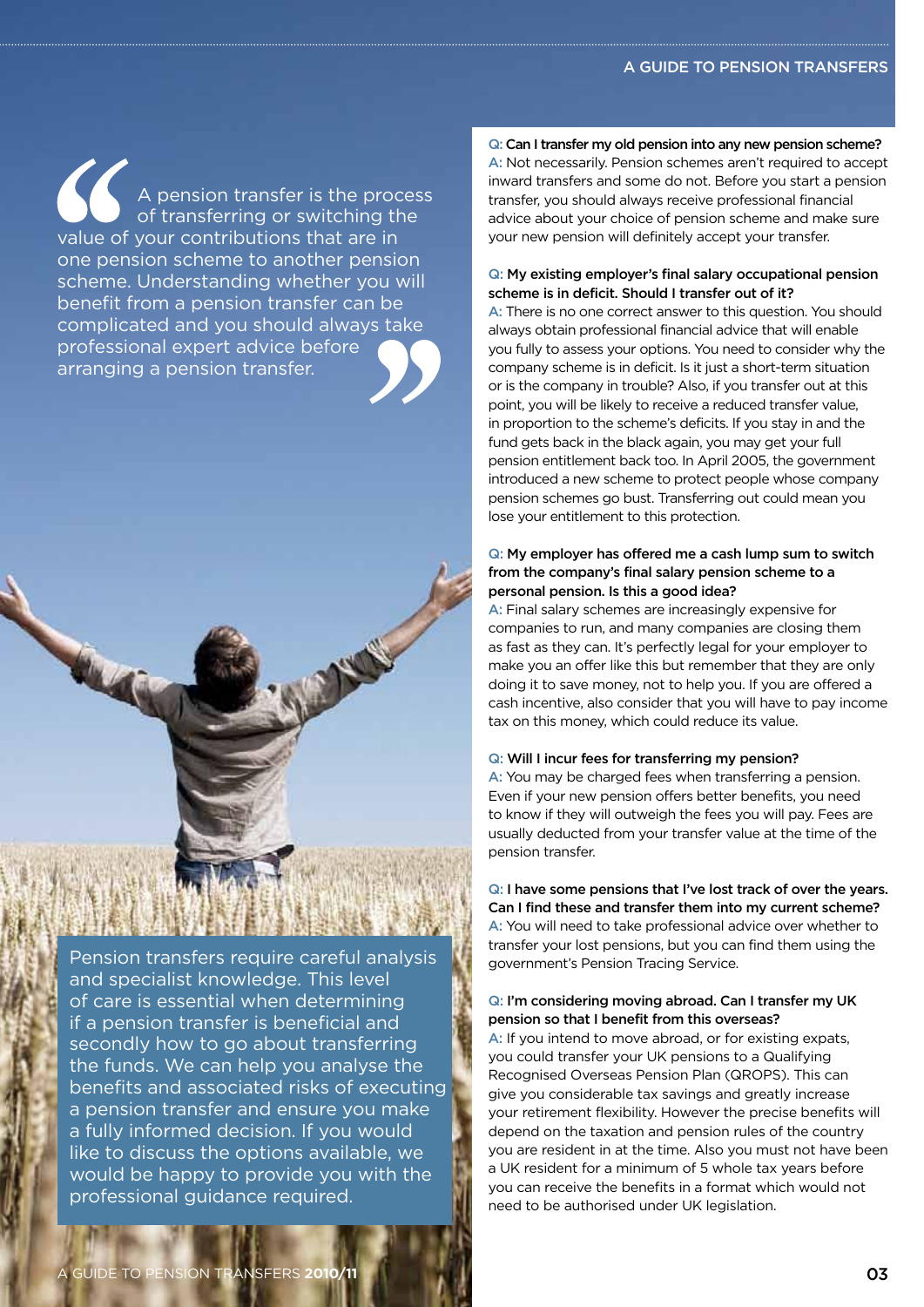A pension transfer is the process of transferring or switching the value of your contributions that are in one pension scheme to another pension scheme. Understanding whether you will benefit from a pension transfer can be complicated and you should always take professional expert advice before arranging a pension transfer.

Pension transfers require careful analysis and specialist knowledge. This level of care is essential when determining if a pension transfer is beneficial and secondly how to go about transferring the funds. We can help you analyse the benefits and associated risks of executing a pension transfer and ensure you make a fully informed decision. If you would like to discuss the options available, we would be happy to provide you with the professional guidance required.

### Q: Can I transfer my old pension into any new pension scheme?

A: Not necessarily. Pension schemes aren't required to accept inward transfers and some do not. Before you start a pension transfer, you should always receive professional financial advice about your choice of pension scheme and make sure your new pension will definitely accept your transfer.

### Q: My existing employer's final salary occupational pension scheme is in deficit. Should I transfer out of it?

A: There is no one correct answer to this question. You should always obtain professional financial advice that will enable you fully to assess your options. You need to consider why the company scheme is in deficit. Is it just a short-term situation or is the company in trouble? Also, if you transfer out at this point, you will be likely to receive a reduced transfer value, in proportion to the scheme's deficits. If you stay in and the fund gets back in the black again, you may get your full pension entitlement back too. In April 2005, the government introduced a new scheme to protect people whose company pension schemes go bust. Transferring out could mean you lose your entitlement to this protection.

### Q: My employer has offered me a cash lump sum to switch from the company's final salary pension scheme to a personal pension. Is this a good idea?

A: Final salary schemes are increasingly expensive for companies to run, and many companies are closing them as fast as they can. It's perfectly legal for your employer to make you an offer like this but remember that they are only doing it to save money, not to help you. If you are offered a cash incentive, also consider that you will have to pay income tax on this money, which could reduce its value.

### Q: Will I incur fees for transferring my pension?

A: You may be charged fees when transferring a pension. Even if your new pension offers better benefits, you need to know if they will outweigh the fees you will pay. Fees are usually deducted from your transfer value at the time of the pension transfer.

Q: I have some pensions that I've lost track of over the years. Can I find these and transfer them into my current scheme? A: You will need to take professional advice over whether to transfer your lost pensions, but you can find them using the government's Pension Tracing Service.

### Q: I'm considering moving abroad. Can I transfer my UK pension so that I benefit from this overseas?

A: If you intend to move abroad, or for existing expats, you could transfer your UK pensions to a Qualifying Recognised Overseas Pension Plan (QROPS). This can give you considerable tax savings and greatly increase your retirement flexibility. However the precise benefits will depend on the taxation and pension rules of the country you are resident in at the time. Also you must not have been a UK resident for a minimum of 5 whole tax years before you can receive the benefits in a format which would not need to be authorised under UK legislation.